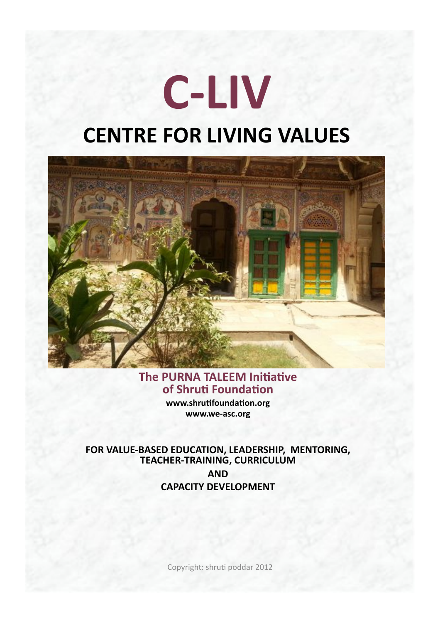# **C-LIV CENTRE FOR LIVING VALUES**



#### The PURNA TALEEM Initiative of Shruti Foundation

www.shrutifoundation.org www.we-asc.org

FOR VALUE-BASED EDUCATION, LEADERSHIP, MENTORING, TEACHER-TRAINING, CURRICULUM **AND CAPACITY DEVELOPMENT** 

Copyright: shruti poddar 2012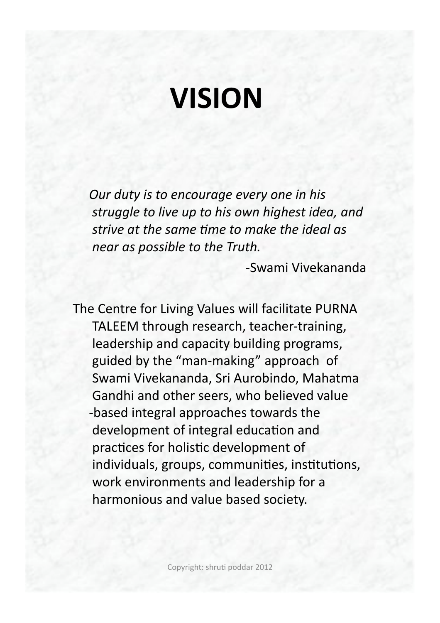## **VISION&**

*Our duty is to encourage every one in his* struggle to live up to his own highest idea, and *!strive!at!the!same!7me!to!make!the!ideal!as near as possible to the Truth.* 

-Swami Vivekananda

The Centre for Living Values will facilitate PURNA TALEEM through research, teacher-training, leadership and capacity building programs, guided by the "man-making" approach of Swami Vivekananda, Sri Aurobindo, Mahatma Gandhi and other seers, who believed value -based integral approaches towards the development of integral education and practices for holistic development of individuals, groups, communities, institutions, work environments and leadership for a harmonious and value based society.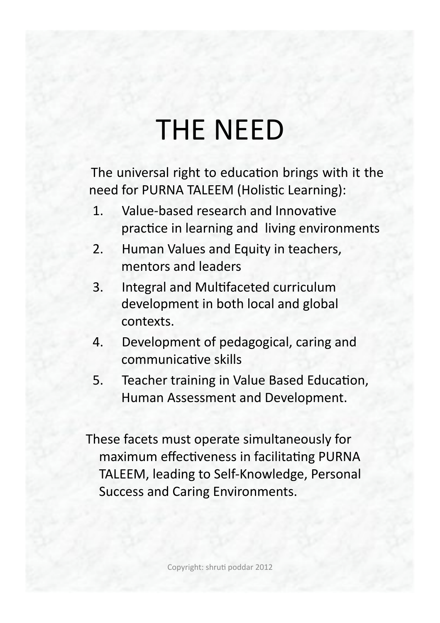### **THE NEED**

The universal right to education brings with it the need for PURNA TALEEM (Holistic Learning):

- Value-based research and Innovative  $1<sub>1</sub>$ practice in learning and living environments
- Human Values and Equity in teachers,  $2.$ mentors and leaders
- Integral and Multifaceted curriculum  $3.$ development in both local and global contexts.
- Development of pedagogical, caring and 4. communicative skills
- 5. Teacher training in Value Based Education, Human Assessment and Development.

These facets must operate simultaneously for maximum effectiveness in facilitating PURNA TALEEM, leading to Self-Knowledge, Personal **Success and Caring Environments.**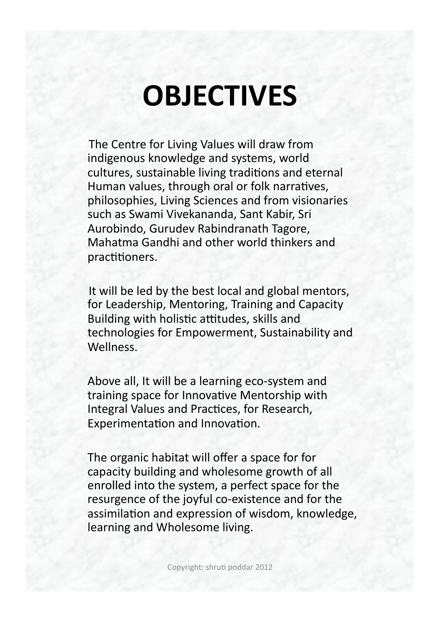### **OBJECTIVES**

The Centre for Living Values will draw from indigenous knowledge and systems, world cultures, sustainable living traditions and eternal Human values, through oral or folk narratives, philosophies, Living Sciences and from visionaries such as Swami Vivekananda, Sant Kabir, Sri Aurobindo, Gurudev Rabindranath Tagore, Mahatma Gandhi and other world thinkers and practitioners.

It will be led by the best local and global mentors, for Leadership, Mentoring, Training and Capacity Building with holistic attitudes, skills and technologies for Empowerment, Sustainability and Wellness.

Above all, It will be a learning eco-system and training space for Innovative Mentorship with Integral Values and Practices, for Research, Experimentation and Innovation.

The organic habitat will offer a space for for capacity building and wholesome growth of all enrolled into the system, a perfect space for the resurgence of the joyful co-existence and for the assimilation and expression of wisdom, knowledge, learning and Wholesome living.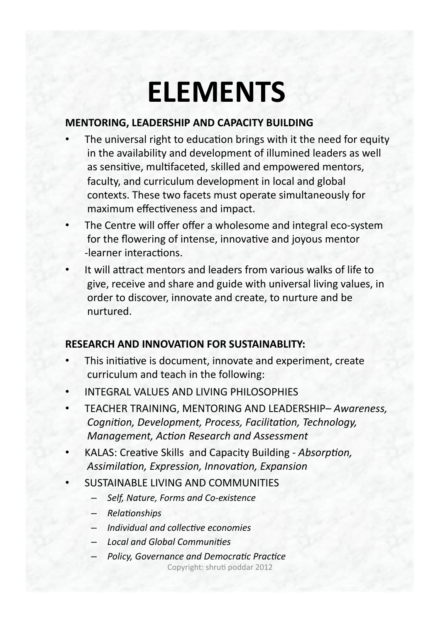### **ELEMENTS**

#### **MENTORING, LEADERSHIP AND CAPACITY BUILDING**

- The universal right to education brings with it the need for equity in the availability and development of illumined leaders as well as sensitive, multifaceted, skilled and empowered mentors, faculty, and curriculum development in local and global contexts. These two facets must operate simultaneously for maximum effectiveness and impact.
- The Centre will offer offer a wholesome and integral eco-system for the flowering of intense, innovative and joyous mentor -learner interactions.
- It will attract mentors and leaders from various walks of life to give, receive and share and guide with universal living values, in order to discover, innovate and create, to nurture and be nurtured.

#### **RESEARCH AND INNOVATION FOR SUSTAINABLITY:**

- This initiative is document, innovate and experiment, create curriculum and teach in the following:
- **INTEGRAL VALUES AND LIVING PHILOSOPHIES**
- TEACHER TRAINING, MENTORING AND LEADERSHIP-Awareness, Cognition, Development, Process, Facilitation, Technology, Management, Action Research and Assessment
- KALAS: Creative Skills and Capacity Building Absorption, Assimilation, Expression, Innovation, Expansion
- **SUSTAINABLE LIVING AND COMMUNITIES** 
	- Self, Nature, Forms and Co-existence
	- Relationships
	- Individual and collective economies
	- **Local and Global Communities**
	- Policy, Governance and Democratic Practice Copyright: shruti poddar 2012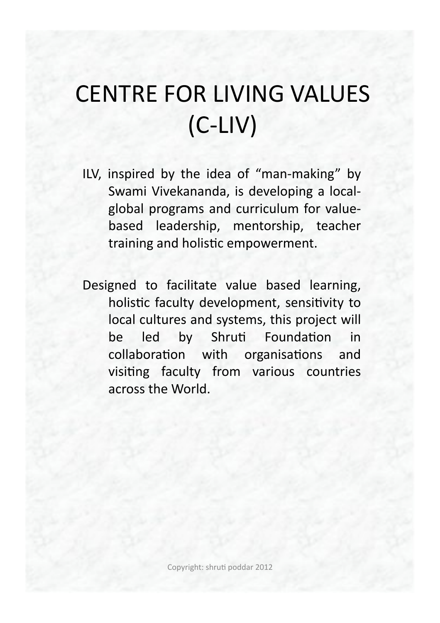### **CENTRE FOR LIVING VALUES**  $(C-LIV)$

- ILV, inspired by the idea of "man-making" by Swami Vivekananda, is developing a localglobal programs and curriculum for valuebased leadership, mentorship, teacher training and holistic empowerment.
- Designed to facilitate value based learning, holistic faculty development, sensitivity to local cultures and systems, this project will be led by Shruti Foundation in collaboration with organisations and visiting faculty from various countries across the World.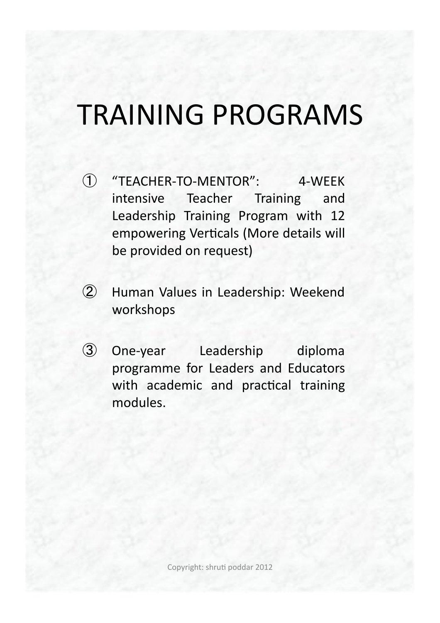### TRAINING PROGRAMS

- (1) "TEACHER-TO-MENTOR": 4-WEEK intensive Teacher Training and Leadership Training Program with 12 empowering Verticals (More details will be provided on request)
- $\circled{2}$ Human Values in Leadership: Weekend workshops!
- 3 One-year Leadership diploma programme for Leaders and Educators with academic and practical training modules.

Copyright: shruti poddar 2012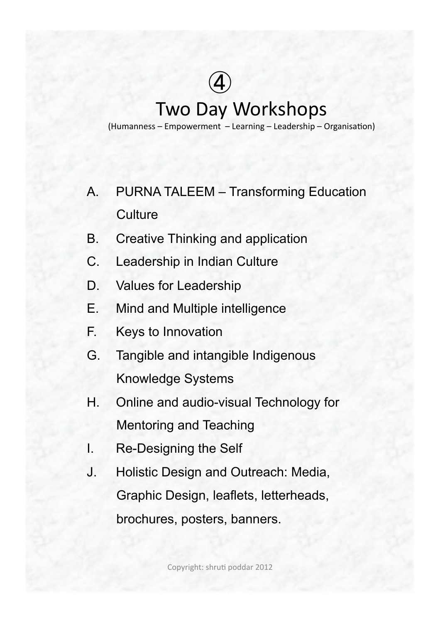### $\bigcircled{4}$ **Two Day Workshops** (Humanness – Empowerment – Learning – Leadership – Organisation)

- A. PURNA TALEEM Transforming Education **Culture**
- B. Creative Thinking and application
- C. Leadership in Indian Culture
- D. Values for Leadership
- E. Mind and Multiple intelligence
- F. Keys to Innovation
- G. Tangible and intangible Indigenous Knowledge Systems
- H. Online and audio-visual Technology for Mentoring and Teaching
- I. Re-Designing the Self
- J. Holistic Design and Outreach: Media, Graphic Design, leaflets, letterheads, brochures, posters, banners.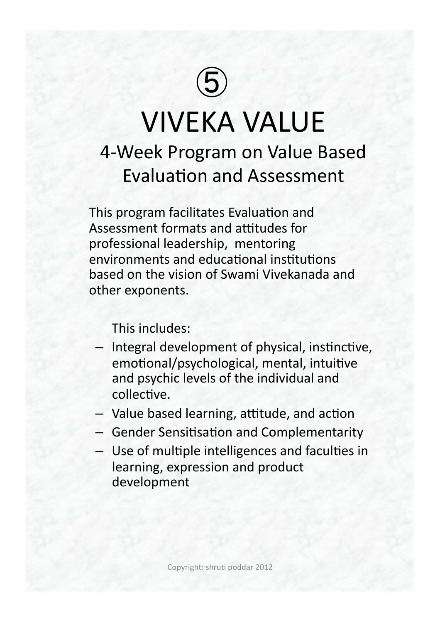### $\bigcirc$ **VIVEKA VALUE** 4-Week Program on Value Based **Evaluation and Assessment**

This program facilitates Evaluation and Assessment formats and attitudes for professional leadership, mentoring environments and educational institutions based on the vision of Swami Vivekanada and other exponents.

This includes:

- Integral development of physical, instinctive, emotional/psychological, mental, intuitive and psychic levels of the individual and collective.
- Value based learning, attitude, and action
- Gender Sensitisation and Complementarity
- Use of multiple intelligences and faculties in learning, expression and product development!